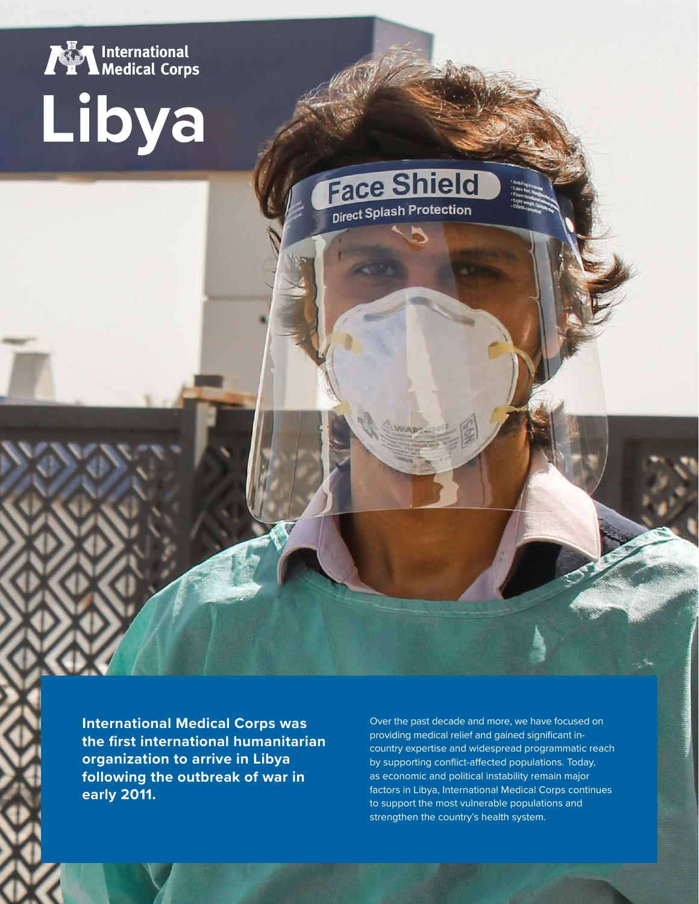

# **Libya**

**Face Shield** Direct Splash Protection

**International Medical Corps was the first international humanitarian organization to arrive in Libya following the outbreak of war in early 2011.** 

Over the past decade and more, we have focused on providing medical relief and gained significant incountry expertise and widespread programmatic reach by supporting conflict-affected populations. Today, as economic and political instability remain major factors in Libya, International Medical Corps continues to support the most vulnerable populations and strengthen the country's health system.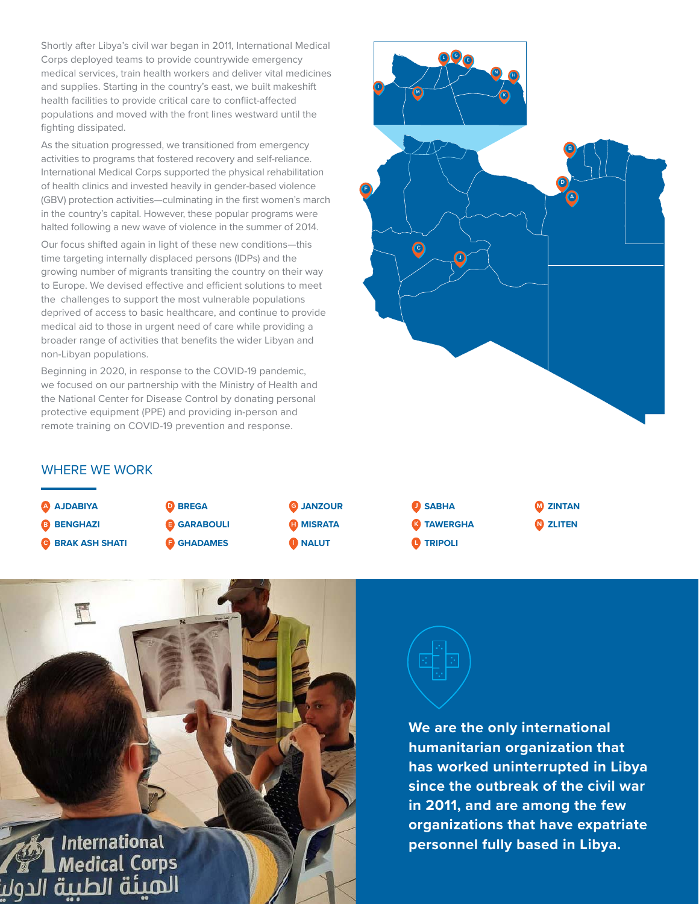Shortly after Libya's civil war began in 2011, International Medical Corps deployed teams to provide countrywide emergency medical services, train health workers and deliver vital medicines and supplies. Starting in the country's east, we built makeshift health facilities to provide critical care to conflict-affected populations and moved with the front lines westward until the fighting dissipated.

As the situation progressed, we transitioned from emergency activities to programs that fostered recovery and self-reliance. International Medical Corps supported the physical rehabilitation of health clinics and invested heavily in gender-based violence (GBV) protection activities—culminating in the first women's march in the country's capital. However, these popular programs were halted following a new wave of violence in the summer of 2014.

Our focus shifted again in light of these new conditions—this time targeting internally displaced persons (IDPs) and the growing number of migrants transiting the country on their way to Europe. We devised effective and efficient solutions to meet the challenges to support the most vulnerable populations deprived of access to basic healthcare, and continue to provide medical aid to those in urgent need of care while providing a broader range of activities that benefits the wider Libyan and non-Libyan populations.

Beginning in 2020, in response to the COVID-19 pandemic, we focused on our partnership with the Ministry of Health and the National Center for Disease Control by donating personal protective equipment (PPE) and providing in-person and remote training on COVID-19 prevention and response.



# WHERE WE WORK







**We are the only international humanitarian organization that has worked uninterrupted in Libya since the outbreak of the civil war in 2011, and are among the few organizations that have expatriate personnel fully based in Libya.**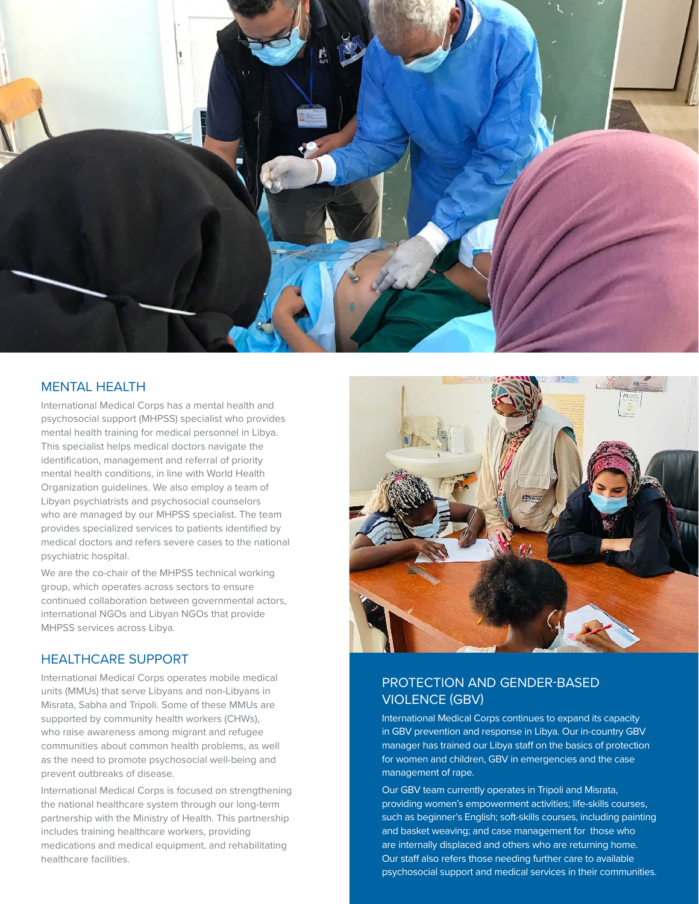

### MENTAL HEALTH

International Medical Corps has a mental health and psychosocial support (MHPSS) specialist who provides mental health training for medical personnel in Libya. This specialist helps medical doctors navigate the identification, management and referral of priority mental health conditions, in line with World Health Organization guidelines. We also employ a team of Libyan psychiatrists and psychosocial counselors who are managed by our MHPSS specialist. The team provides specialized services to patients identified by medical doctors and refers severe cases to the national psychiatric hospital.

We are the co-chair of the MHPSS technical working group, which operates across sectors to ensure continued collaboration between governmental actors, international NGOs and Libyan NGOs that provide MHPSS services across Libya.

## HEALTHCARE SUPPORT

International Medical Corps operates mobile medical units (MMUs) that serve Libyans and non-Libyans in Misrata, Sabha and Tripoli. Some of these MMUs are supported by community health workers (CHWs), who raise awareness among migrant and refugee communities about common health problems, as well as the need to promote psychosocial well-being and prevent outbreaks of disease.

International Medical Corps is focused on strengthening the national healthcare system through our long-term partnership with the Ministry of Health. This partnership includes training healthcare workers, providing medications and medical equipment, and rehabilitating healthcare facilities.



# PROTECTION AND GENDER-BASED VIOLENCE (GBV)

International Medical Corps continues to expand its capacity in GBV prevention and response in Libya. Our in-country GBV manager has trained our Libya staff on the basics of protection for women and children, GBV in emergencies and the case management of rape.

Our GBV team currently operates in Tripoli and Misrata, providing women's empowerment activities; life-skills courses, such as beginner's English; soft-skills courses, including painting and basket weaving; and case management for those who are internally displaced and others who are returning home. Our staff also refers those needing further care to available psychosocial support and medical services in their communities.